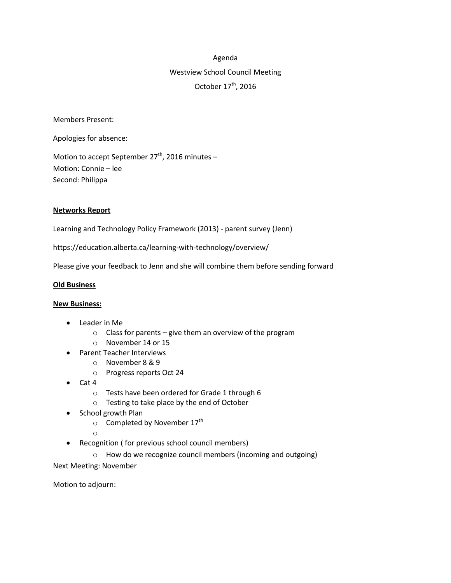# Agenda

# Westview School Council Meeting October  $17^{\text{th}}$ , 2016

Members Present:

Apologies for absence:

Motion to accept September 27<sup>th</sup>, 2016 minutes -Motion: Connie – lee Second: Philippa

### **Networks Report**

Learning and Technology Policy Framework (2013) - parent survey (Jenn)

https://education.alberta.ca/learning-with-technology/overview/

Please give your feedback to Jenn and she will combine them before sending forward

#### **Old Business**

#### **New Business:**

- Leader in Me
	- $\circ$  Class for parents give them an overview of the program
	- o November 14 or 15
- Parent Teacher Interviews
	- o November 8 & 9
		- o Progress reports Oct 24
- Cat 4
	- o Tests have been ordered for Grade 1 through 6
	- o Testing to take place by the end of October
- School growth Plan
	- $\circ$  Completed by November 17<sup>th</sup>
	- o
- Recognition ( for previous school council members)
	- o How do we recognize council members (incoming and outgoing)

Next Meeting: November

Motion to adjourn: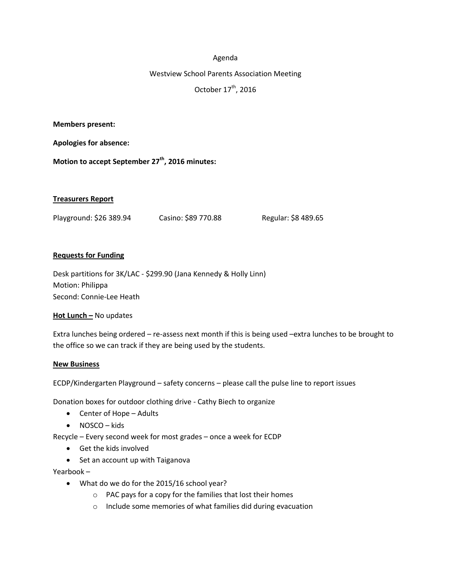### Agenda

#### Westview School Parents Association Meeting

October 17 $th$ , 2016

**Members present:**

**Apologies for absence:**

**Motion to accept September 27th , 2016 minutes:**

### **Treasurers Report**

Playground: \$26 389.94 Casino: \$89 770.88 Regular: \$8 489.65

### **Requests for Funding**

Desk partitions for 3K/LAC - \$299.90 (Jana Kennedy & Holly Linn) Motion: Philippa Second: Connie-Lee Heath

## **Hot Lunch –** No updates

Extra lunches being ordered – re-assess next month if this is being used –extra lunches to be brought to the office so we can track if they are being used by the students.

#### **New Business**

ECDP/Kindergarten Playground – safety concerns – please call the pulse line to report issues

Donation boxes for outdoor clothing drive - Cathy Biech to organize

- Center of Hope Adults
- NOSCO kids

Recycle – Every second week for most grades – once a week for ECDP

- Get the kids involved
- Set an account up with Taiganova

Yearbook –

- What do we do for the 2015/16 school year?
	- o PAC pays for a copy for the families that lost their homes
	- o Include some memories of what families did during evacuation